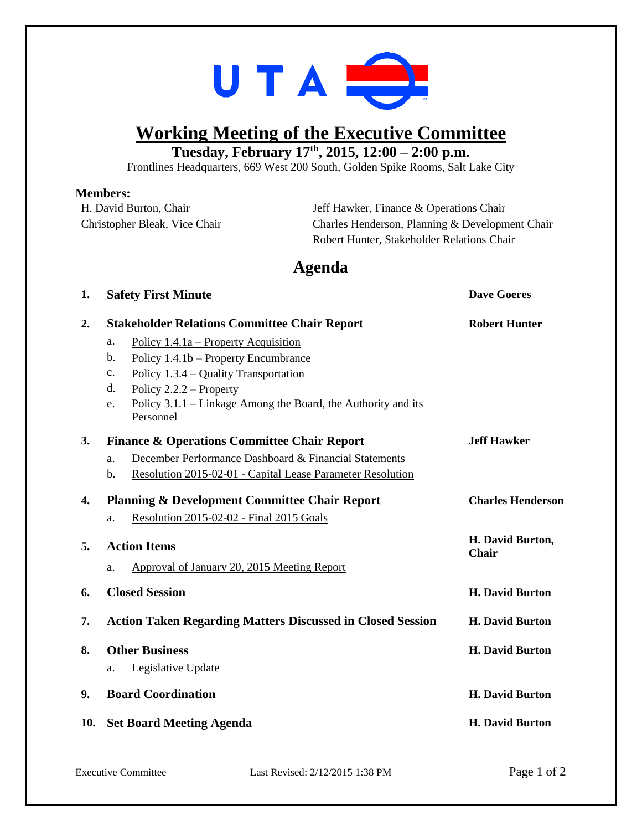

## **Working Meeting of the Executive Committee**

**Tuesday, February 17th , 2015, 12:00 – 2:00 p.m.**

Frontlines Headquarters, 669 West 200 South, Golden Spike Rooms, Salt Lake City

## **Members:**

| IVILIHIJLI 9.<br>H. David Burton, Chair<br>Christopher Bleak, Vice Chair |                                                                                                                                                                                                                                                                    | Jeff Hawker, Finance & Operations Chair<br>Charles Henderson, Planning & Development Chair |                           |
|--------------------------------------------------------------------------|--------------------------------------------------------------------------------------------------------------------------------------------------------------------------------------------------------------------------------------------------------------------|--------------------------------------------------------------------------------------------|---------------------------|
|                                                                          |                                                                                                                                                                                                                                                                    | Robert Hunter, Stakeholder Relations Chair                                                 |                           |
|                                                                          |                                                                                                                                                                                                                                                                    | Agenda                                                                                     |                           |
| 1.                                                                       | <b>Safety First Minute</b>                                                                                                                                                                                                                                         |                                                                                            | <b>Dave Goeres</b>        |
| 2.                                                                       | <b>Stakeholder Relations Committee Chair Report</b>                                                                                                                                                                                                                |                                                                                            | <b>Robert Hunter</b>      |
|                                                                          | Policy $1.4.1a$ – Property Acquisition<br>a.<br>Policy 1.4.1b – Property Encumbrance<br>b.<br>Policy $1.3.4$ – Quality Transportation<br>c.<br>d.<br>Policy $2.2.2$ – Property<br>Policy 3.1.1 – Linkage Among the Board, the Authority and its<br>e.<br>Personnel |                                                                                            |                           |
| 3.                                                                       | <b>Finance &amp; Operations Committee Chair Report</b>                                                                                                                                                                                                             |                                                                                            | <b>Jeff Hawker</b>        |
|                                                                          | December Performance Dashboard & Financial Statements<br>a.<br>Resolution 2015-02-01 - Capital Lease Parameter Resolution<br>b.                                                                                                                                    |                                                                                            |                           |
| 4.                                                                       | <b>Planning &amp; Development Committee Chair Report</b><br>Resolution 2015-02-02 - Final 2015 Goals<br>a.                                                                                                                                                         |                                                                                            | <b>Charles Henderson</b>  |
| 5.                                                                       | <b>Action Items</b>                                                                                                                                                                                                                                                |                                                                                            | H. David Burton,<br>Chair |
|                                                                          | Approval of January 20, 2015 Meeting Report<br>a.                                                                                                                                                                                                                  |                                                                                            |                           |
| 6.                                                                       | <b>Closed Session</b>                                                                                                                                                                                                                                              |                                                                                            | <b>H. David Burton</b>    |
| 7.                                                                       | <b>Action Taken Regarding Matters Discussed in Closed Session</b>                                                                                                                                                                                                  |                                                                                            | <b>H. David Burton</b>    |
| 8.                                                                       | <b>Other Business</b><br>Legislative Update<br>a.                                                                                                                                                                                                                  |                                                                                            | <b>H. David Burton</b>    |
| 9.                                                                       | <b>Board Coordination</b>                                                                                                                                                                                                                                          |                                                                                            | <b>H. David Burton</b>    |
| 10.                                                                      | <b>Set Board Meeting Agenda</b>                                                                                                                                                                                                                                    |                                                                                            | <b>H. David Burton</b>    |